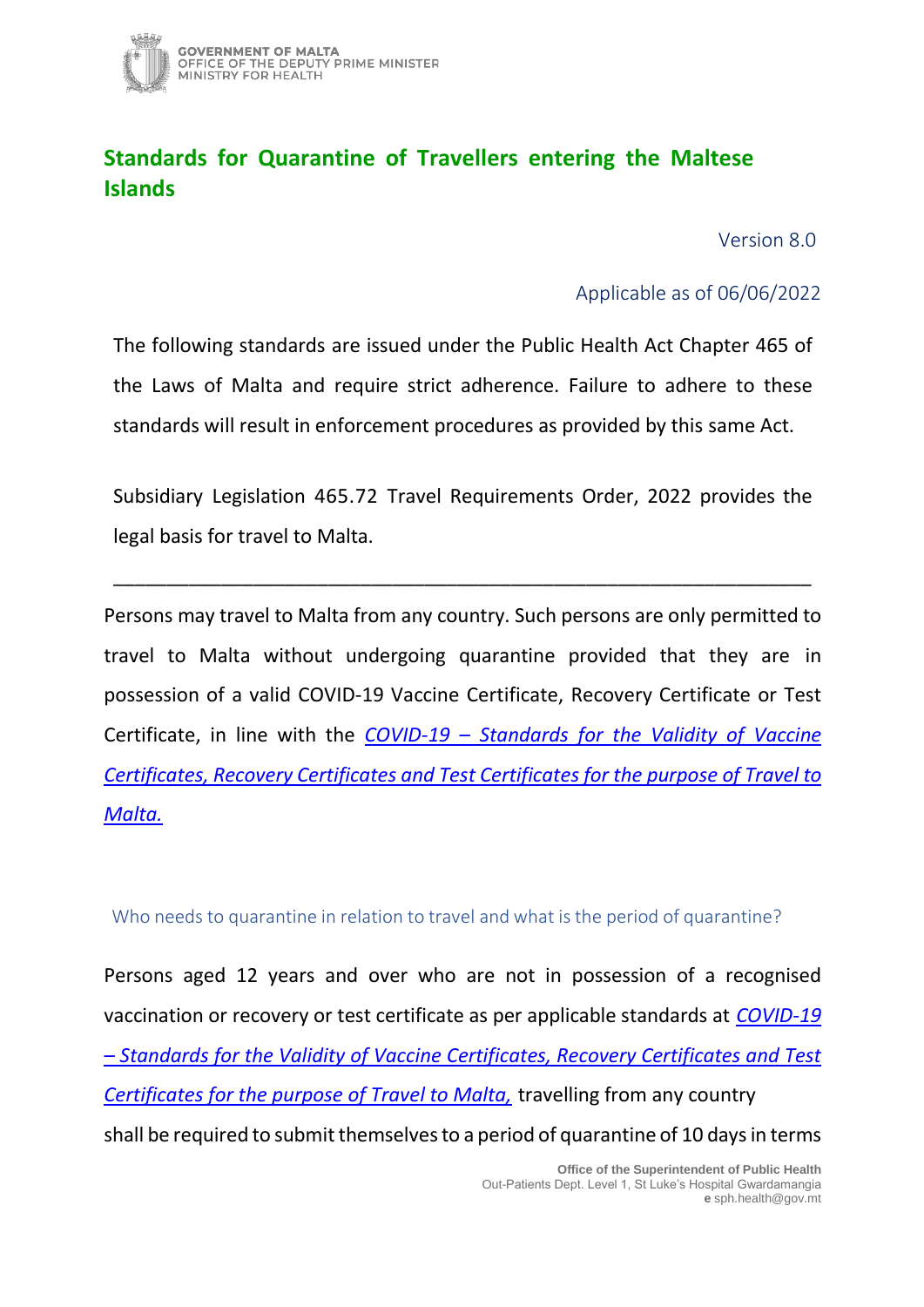

## **Standards for Quarantine of Travellers entering the Maltese Islands**

Version 8.0

Applicable as of 06/06/2022

The following standards are issued under the Public Health Act Chapter 465 of the Laws of Malta and require strict adherence. Failure to adhere to these standards will result in enforcement procedures as provided by this same Act.

Subsidiary Legislation 465.72 Travel Requirements Order, 2022 provides the legal basis for travel to Malta.

\_\_\_\_\_\_\_\_\_\_\_\_\_\_\_\_\_\_\_\_\_\_\_\_\_\_\_\_\_\_\_\_\_\_\_\_\_\_\_\_\_\_\_\_\_\_\_\_\_\_\_\_\_\_\_\_\_\_\_\_\_\_\_\_\_

Persons may travel to Malta from any country. Such persons are only permitted to travel to Malta without undergoing quarantine provided that they are in possession of a valid COVID-19 Vaccine Certificate, Recovery Certificate or Test Certificate, in line with the *COVID-19 – [Standards for the Validity of Vaccine](https://deputyprimeminister.gov.mt/en/health-promotion/covid-19/Documents/travel_pass_valid_documents%20_%20v1_070422.pdf)  [Certificates, Recovery Certificates and Test Certificates for the purpose of Travel to](https://deputyprimeminister.gov.mt/en/health-promotion/covid-19/Documents/travel_pass_valid_documents%20_%20v1_070422.pdf)  [Malta.](https://deputyprimeminister.gov.mt/en/health-promotion/covid-19/Documents/travel_pass_valid_documents%20_%20v1_070422.pdf)*

Who needs to quarantine in relation to travel and what is the period of quarantine?

Persons aged 12 years and over who are not in possession of a recognised vaccination or recovery or test certificate as per applicable standards at *[COVID-19](https://deputyprimeminister.gov.mt/en/health-promotion/covid-19/Documents/travel_pass_valid_documents%20_%20v1_070422.pdf)  – [Standards for the Validity of Vaccine Certificates, Recovery Certificates and Test](https://deputyprimeminister.gov.mt/en/health-promotion/covid-19/Documents/travel_pass_valid_documents%20_%20v1_070422.pdf)  Certificates for the [purpose of Travel to Malta,](https://deputyprimeminister.gov.mt/en/health-promotion/covid-19/Documents/travel_pass_valid_documents%20_%20v1_070422.pdf)* travelling from any country shall be required to submit themselves to a period of quarantine of 10 days in terms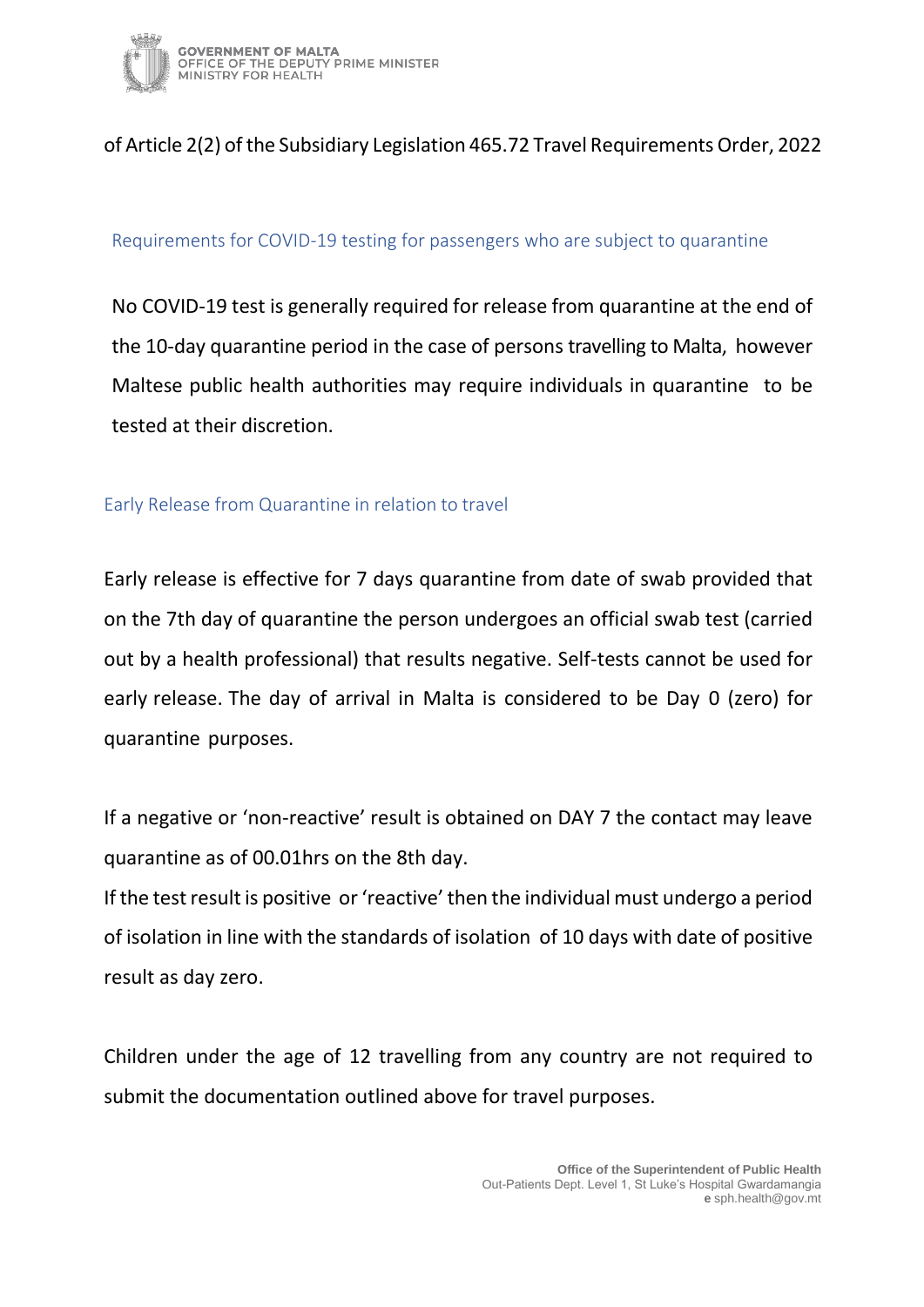

## of Article 2(2) of the Subsidiary Legislation 465.72 Travel Requirements Order, 2022

#### Requirements for COVID-19 testing for passengers who are subject to quarantine

No COVID-19 test is generally required for release from quarantine at the end of the 10-day quarantine period in the case of persons travelling to Malta, however Maltese public health authorities may require individuals in quarantine to be tested at their discretion.

#### Early Release from Quarantine in relation to travel

Early release is effective for 7 days quarantine from date of swab provided that on the 7th day of quarantine the person undergoes an official swab test (carried out by a health professional) that results negative. Self-tests cannot be used for early release. The day of arrival in Malta is considered to be Day 0 (zero) for quarantine purposes.

If a negative or 'non-reactive' result is obtained on DAY 7 the contact may leave quarantine as of 00.01hrs on the 8th day.

If the test result is positive or 'reactive' then the individual must undergo a period of isolation in line with the [standards of isolation](https://deputyprimeminister.gov.mt/en/health-promotion/covid-19/Documents/Standards%20for%20isolation_quarantine%20020522.pdf) of 10 days with date of positive result as day zero.

Children under the age of 12 travelling from any country are not required to submit the documentation outlined above for travel purposes.